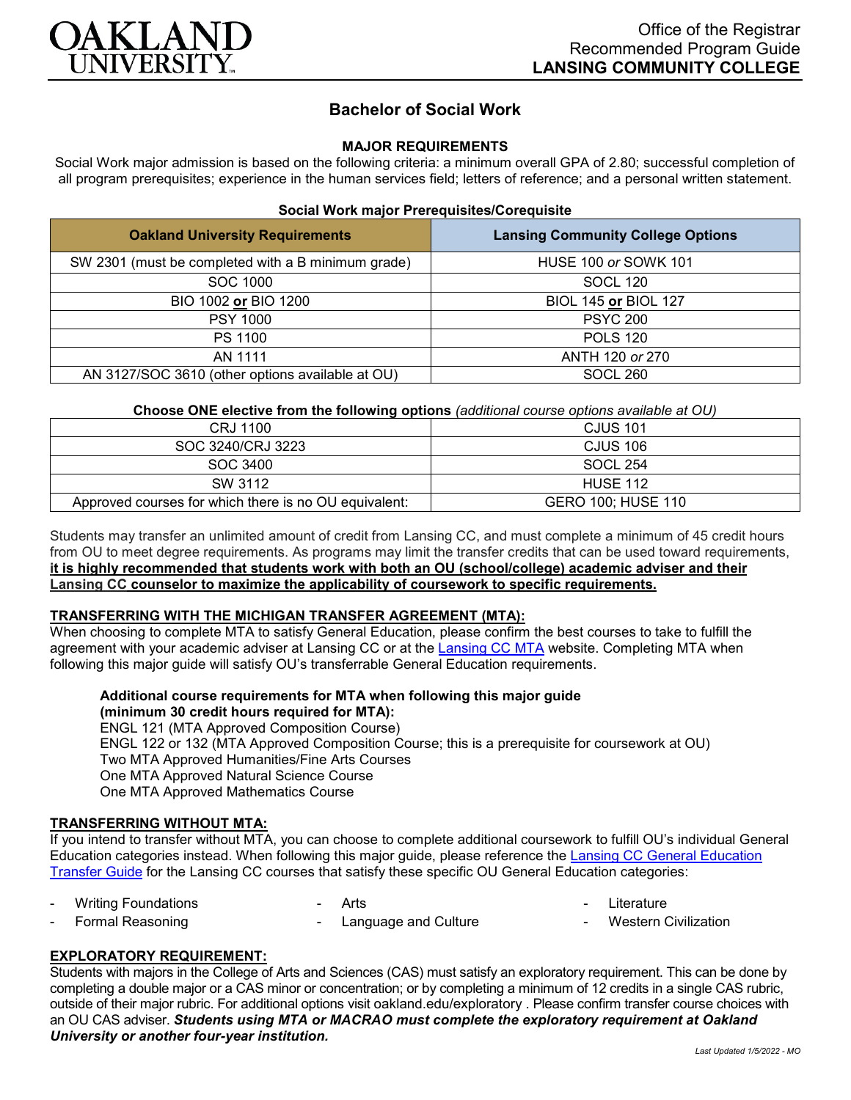

# **Bachelor of Social Work**

#### **MAJOR REQUIREMENTS**

Social Work major admission is based on the following criteria: a minimum overall GPA of 2.80; successful completion of all program prerequisites; experience in the human services field; letters of reference; and a personal written statement.

#### **Social Work major Prerequisites/Corequisite**

| <b>Oakland University Requirements</b>             | <b>Lansing Community College Options</b> |  |
|----------------------------------------------------|------------------------------------------|--|
| SW 2301 (must be completed with a B minimum grade) | HUSE 100 or SOWK 101                     |  |
| SOC 1000                                           | <b>SOCL 120</b>                          |  |
| BIO 1002 or BIO 1200                               | BIOL 145 or BIOL 127                     |  |
| <b>PSY 1000</b>                                    | <b>PSYC 200</b>                          |  |
| PS 1100<br><b>POLS 120</b>                         |                                          |  |
| AN 1111                                            | ANTH 120 or 270                          |  |
| AN 3127/SOC 3610 (other options available at OU)   | <b>SOCL 260</b>                          |  |

#### **Choose ONE elective from the following options** *(additional course options available at OU)*

| CRJ 1100                                              | <b>CJUS 101</b>    |
|-------------------------------------------------------|--------------------|
| SOC 3240/CRJ 3223                                     | <b>CJUS 106</b>    |
| SOC 3400                                              | <b>SOCL 254</b>    |
| SW 3112                                               | <b>HUSE 112</b>    |
| Approved courses for which there is no OU equivalent: | GERO 100; HUSE 110 |

Students may transfer an unlimited amount of credit from Lansing CC, and must complete a minimum of 45 credit hours from OU to meet degree requirements. As programs may limit the transfer credits that can be used toward requirements, **it is highly recommended that students work with both an OU (school/college) academic adviser and their Lansing CC counselor to maximize the applicability of coursework to specific requirements.**

#### **TRANSFERRING WITH THE MICHIGAN TRANSFER AGREEMENT (MTA):**

When choosing to complete MTA to satisfy General Education, please confirm the best courses to take to fulfill the agreement with your academic adviser at Lansing CC or at the [Lansing CC MTA](https://www.lcc.edu/academics/transfer/mta.html) website. Completing MTA when following this major guide will satisfy OU's transferrable General Education requirements.

**Additional course requirements for MTA when following this major guide (minimum 30 credit hours required for MTA):**

ENGL 121 (MTA Approved Composition Course) ENGL 122 or 132 (MTA Approved Composition Course; this is a prerequisite for coursework at OU) Two MTA Approved Humanities/Fine Arts Courses One MTA Approved Natural Science Course One MTA Approved Mathematics Course

### **TRANSFERRING WITHOUT MTA:**

If you intend to transfer without MTA, you can choose to complete additional coursework to fulfill OU's individual General Education categories instead. When following this major guide, please reference the [Lansing CC General Education](https://www.oakland.edu/Assets/Oakland/program-guides/lansing-community-college/university-general-education-requirements/Lansing%20Gen%20Ed.pdf)  [Transfer Guide](https://www.oakland.edu/Assets/Oakland/program-guides/lansing-community-college/university-general-education-requirements/Lansing%20Gen%20Ed.pdf) for the Lansing CC courses that satisfy these specific OU General Education categories:

|  | <b>Writing Foundations</b> |  |
|--|----------------------------|--|
|--|----------------------------|--|

**Arts** 

- **Literature**
- Formal Reasoning Language and Culture **Western Civilization**

## **EXPLORATORY REQUIREMENT:**

Students with majors in the College of Arts and Sciences (CAS) must satisfy an exploratory requirement. This can be done by completing a double major or a CAS minor or concentration; or by completing a minimum of 12 credits in a single CAS rubric, outside of their major rubric. For additional options visit [oakland.edu/exploratory](http://www.oakland.edu/exploratory) . Please confirm transfer course choices with an OU CAS adviser. *Students using MTA or MACRAO must complete the exploratory requirement at Oakland University or another four-year institution.*